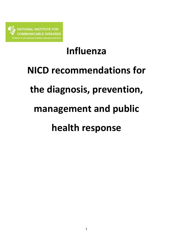

# **Influenza**

## **NICD recommendations for**

## **the diagnosis, prevention,**

## **management and public**

## **health response**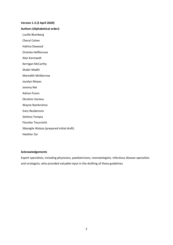## **Version 1.3 (2 April 2020)**

## **Authors (Alphabetical order):**

Lucille Blumberg

Cheryl Cohen

Halima Dawood

Orienka Hellferscee

Alan Karstaedt

Kerrigan McCarthy

Shabir Madhi

Meredith McMorrow

Jocelyn Moyes

Jeremy Nel

Adrian Puren

Ebrahim Variava

Wayne Ramkrishna

Gary Reubenson

Stefano Tempia

Florette Treurnicht

Sibongile Walaza (prepared initial draft)

Heather Zar

### **Acknowledgements**

Expert specialists, including physicians, paediatricians, neonatologists, infectious disease specialists and virologists, who provided valuable input in the drafting of these guidelines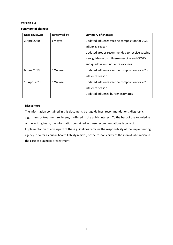## **Version 1.3**

**Summary of changes:**

| Date reviewed | <b>Reviewed by</b> | <b>Summary of changes</b>                      |  |
|---------------|--------------------|------------------------------------------------|--|
| 2 April 2020  | J Moyes            | Updated influenza vaccine composition for 2020 |  |
|               |                    | influenza season                               |  |
|               |                    | Updated groups recommended to receive vaccine  |  |
|               |                    | New guidance on influenza vaccine and COVID    |  |
|               |                    | and quadrivalent influenza vaccines            |  |
| 6 June 2019   | S Walaza           | Updated influenza vaccine composition for 2019 |  |
|               |                    | influenza season                               |  |
| 13 April 2018 | S Walaza           | Updated influenza vaccine composition for 2018 |  |
|               |                    | influenza season                               |  |
|               |                    | Updated influenza burden estimates             |  |

## **Disclaimer:**

The information contained in this document, be it guidelines, recommendations, diagnostic algorithms or treatment regimens, is offered in the public interest. To the best of the knowledge of the writing team, the information contained in these recommendations is correct. Implementation of any aspect of these guidelines remains the responsibility of the implementing agency in so far as public health liability resides, or the responsibility of the individual clinician in the case of diagnosis or treatment.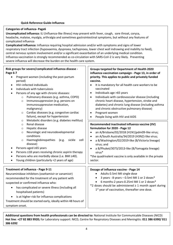## **Quick Reference Guide-Influenza**

## **Categories of influenza- Page6**

**Uncomplicated influenza:** ILI (Influenza-like illness) may present with fever, cough, sore throat, coryza, headache, malaise, myalgia, arthralgia and sometimes gastrointestinal symptoms, but without any features of complicated influenza

**Complicated influenza:** Influenza requiring hospital admission and/or with symptoms and signs of lower respiratory tract infection (hypoxaemia, dyspnoea, tachypnoea, lower chest wall indrawing and inability to feed), central nervous system involvement and/or a significant exacerbation of an underlying medical condition. Influenza vaccination is strongly recommended as co-circulation with SARS-CoV-2 is very likely. Preventing severe influenza will decrease the burden on the health care system.

| Risk groups for severe/complicated influenza disease -<br>Page 6-7<br>Pregnant women (including the post-partum<br>period)<br>HIV-infected individuals<br>$\bullet$<br>Individuals with tuberculosis<br>$\bullet$<br>Persons of any age with chronic diseases:<br>$\bullet$<br>Pulmonary diseases (e.g. asthma, COPD)<br>$\circ$<br>Immunosuppression (e.g. persons on<br>$\circ$<br>immunosuppressive medication,<br>malignancy)<br>Cardiac diseases (e.g. congestive cardiac<br>$\circ$<br>failure), except for hypertension<br>Metabolic disorders (e.g. diabetes mellitus)<br>$\circ$<br>Renal disease<br>$\circ$<br>Hepatic disease<br>$\circ$<br>Neurologic and neurodevelopmental<br>$\circ$<br>conditions<br>Haemoglobinopathies (e.g.<br>sickle<br>cell<br>$\circ$<br>disease)<br>Persons aged ≥65 years<br>$\bullet$<br>Persons ≤18 years receiving chronic aspirin therapy<br>$\bullet$ | Groups targeted for Department of Health 2020<br>influenza vaccination campaign - Page 13, in order of<br>priority. This applies to public and privately funded<br>vaccine.<br>It is mandatory for all health care workers to be<br>vaccinated<br>Individuals age >65 years<br>$\bullet$<br>Individuals with cardiovascular disease (including<br>$\bullet$<br>chronic heart disease, hypertension, stroke and<br>diabetes) and chronic lung disease (including asthma<br>and chronic obstructive pulmonary disease)<br>Pregnant women<br>$\bullet$<br>People living with HIV and AIDS<br>Recommended inactivated influenza vaccine (IIV)<br>formulation for 2020 - Page 12<br>an A/Brisbane/02/2018 (H1N1)pdm09-like virus;<br>$\bullet$<br>an A/South Australia/34/2019 (H3N2)-like virus;<br>$\bullet$<br>a B/Washington/02/2019-like (B/Victoria lineage)<br>virus; and<br>a B/Phuket/3073/2013-like (B/Yamagata lineage)<br>virus* |  |
|----------------------------------------------------------------------------------------------------------------------------------------------------------------------------------------------------------------------------------------------------------------------------------------------------------------------------------------------------------------------------------------------------------------------------------------------------------------------------------------------------------------------------------------------------------------------------------------------------------------------------------------------------------------------------------------------------------------------------------------------------------------------------------------------------------------------------------------------------------------------------------------------------|-----------------------------------------------------------------------------------------------------------------------------------------------------------------------------------------------------------------------------------------------------------------------------------------------------------------------------------------------------------------------------------------------------------------------------------------------------------------------------------------------------------------------------------------------------------------------------------------------------------------------------------------------------------------------------------------------------------------------------------------------------------------------------------------------------------------------------------------------------------------------------------------------------------------------------------------|--|
| Persons who are morbidly obese (i.e. BMI ≥40).<br>$\bullet$<br>Young children (particularly <2 years of age)                                                                                                                                                                                                                                                                                                                                                                                                                                                                                                                                                                                                                                                                                                                                                                                       | *the quadrivalent vaccine is only available in the private<br>sector.                                                                                                                                                                                                                                                                                                                                                                                                                                                                                                                                                                                                                                                                                                                                                                                                                                                                   |  |
|                                                                                                                                                                                                                                                                                                                                                                                                                                                                                                                                                                                                                                                                                                                                                                                                                                                                                                    |                                                                                                                                                                                                                                                                                                                                                                                                                                                                                                                                                                                                                                                                                                                                                                                                                                                                                                                                         |  |
| Treatment of influenza - Page 9-11<br>Neuraminidase inhibitors (oseltamivir or zanamivir)<br>recommended for the treatment of any patient with<br>suspected or confirmed influenza who:<br>has complicated or severe illness (including all<br>$\bullet$<br>hospitalised patients)<br>is at higher risk for influenza complications<br>$\bullet$<br>Treatment should be started early, ideally within 48 hours of<br>symptom onset.                                                                                                                                                                                                                                                                                                                                                                                                                                                                | Dosage of influenza vaccine - Page 14<br>Adults 0.5ml IMI single dose<br>$\bullet$<br>3 years - 8 years - 0.5ml IMI 1 or 2 doses*<br>$\bullet$<br>6 months-2 years-0.25ml IMI 1 or 2 doses*<br>*2 doses should be administered $\geq$ 1 month apart during<br>1 <sup>st</sup> year of vaccination, thereafter one dose.                                                                                                                                                                                                                                                                                                                                                                                                                                                                                                                                                                                                                 |  |
|                                                                                                                                                                                                                                                                                                                                                                                                                                                                                                                                                                                                                                                                                                                                                                                                                                                                                                    |                                                                                                                                                                                                                                                                                                                                                                                                                                                                                                                                                                                                                                                                                                                                                                                                                                                                                                                                         |  |

**Additional questions from health professionals can be directed to:** National Institute for Communicable Diseases (NICD) **Hot line**: **+27 82 883 9920;** for Laboratory support: NICD, Centre for Respiratory Diseases and Meningitis: **011 386 6390/ 011 386 6392**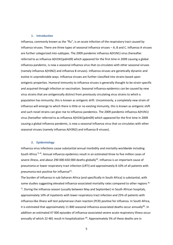#### **1. Introduction**

Influenza, commonly known as the "flu", is an acute infection of the respiratory tract caused by influenza viruses. There are three types of seasonal influenza viruses – A, B and C. Influenza A viruses are further categorized into subtypes. The 2009 pandemic influenza A(H1N1) virus (hereafter referred to as influenza A(H1N1)pdm09) which appeared for the first time in 2009 causing a global influenza pandemic, is now a seasonal influenza virus that co-circulates with other seasonal viruses (namely influenza A(H3N2) and influenza B viruses). Influenza viruses are genetically dynamic and evolve in unpredictable ways. Influenza viruses are further classified into strains based upon antigenic properties. Humoral immunity to influenza viruses is generally thought to be strain-specific and acquired through infection or vaccination. Seasonal influenza epidemics can be caused by new virus strains that are antigenically distinct from previously circulating virus strains to which a population has immunity; this is known as antigenic drift. Uncommonly, a completely new strain of influenza will emerge to which there is little or no existing immunity, this is known as antigenic shift and such novel strains can give rise to influenza pandemics. The 2009 pandemic influenza A(H1N1) virus (hereafter referred to as influenza A(H1N1)pdm09) which appeared for the first time in 2009 causing a global influenza pandemic, is now a seasonal influenza virus that co-circulates with other seasonal viruses (namely influenza A(H3N2) and influenza B viruses).

#### **2. Epidemiology**

Influenza virus infections cause substantial annual morbidity and mortality worldwide including South Africa <sup>[1-4]</sup>. Annual influenza epidemics result in an estimated three to five million cases of severe illness, and about 290 000-650 000 deaths globally<sup>[4]</sup>. Influenza is an important cause of pneumonia or lower respiratory tract infection (LRTI) and approximately 8-10% of all patients with pneumonia test positive for influenza<sup>[5]</sup>.

The burden of influenza in sub-Saharan Africa (and specifically in South Africa) is substantial, with some studies suggesting elevated influenza-associated mortality rates compared to other regions [6, <sup>7]</sup>. During the influenza season (usually between May and September) in South African hospitals, approximately 14% of inpatients with lower respiratory tract infection and 25% of patients with influenza-like illness will test polymerase chain reaction (PCR) positive for influenza. In South Africa, it is estimated that approximately 11 800 seasonal influenza-associated deaths occur annually<sup>[8]</sup>. In addition an estimated 47 000 episodes of influenza-associated severe acute respiratory illness occur annually of which 22 481 result in hospitalization <sup>[9]</sup>. Approximately 5% of these deaths are in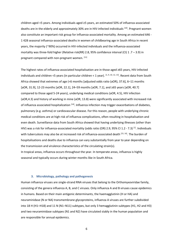children aged <5 years. Among individuals aged ≥5 years, an estimated 50% of influenza-associated deaths are in the elderly and approximately 30% are in HIV-infected individuals [10]. Pregnant women also constitute an important risk group for influenza-associated mortality. Among an estimated 646 - 1 428 seasonal influenza-associated deaths in women of childbearing age in South Africa in recent years, the majority (~90%) occurred in HIV-infected individuals and the influenza-associated mortality was three-fold higher (Relative risk(RR) 2.8, 95% confidence interval (CI)  $1.7 - 3.9$ ) in pregnant compared with non-pregnant women. [11]

The highest rates of influenza-associated hospitalisation are in those aged ≥65 years, HIV-infected individuals and children <5 years (in particular children < 1 year). <sup>[1, 9, 10, 12, 13]</sup>. Recent data from South Africa showed that extremes of age (<6 months [adjusted odds ratio (aOR), 37.6], 6–11 months [aOR, 31.9], 12-23 months [aOR, 22.1], 24–59 months [aOR, 7.1], and ≥65 years [aOR, 40.7] compared to those aged 5-24 years), underlying medical conditions (aOR, 4.5), HIV infection (aOR,4.3) and history of working in mine (aOR, 13.8) were significantly associated with increased risk of influenza associated hospitalization <sup>[14]</sup>. Influenza infection may trigger exacerbations of diabetes, pulmonary (e.g. asthma) or cardiovascular disease. For this reason, people with underlying chronic medical conditions are at high risk of influenza complications, often resulting in hospitalisation and even death. Surveillance data from South Africa showed that having underlying illnesses (other than HIV) was a risk for influenza-associated mortality (odds ratio (OR) 2.9, 95% CI 1.2 - 7.3) <sup>[1]</sup>. Individuals with tuberculosis may also be at increased risk of influenza-associated death <sup>[15, 16]</sup>. The burden of hospitalisations and deaths due to influenza can vary substantially from year to year depending on the transmission and virulence characteristics of the circulating strain(s). In tropical areas, influenza occurs throughout the year. In temperate areas, influenza is highly

seasonal and typically occurs during winter months like in South Africa.

#### **3. Microbiology, pathology and pathogenesis**

Human influenza viruses are single-strand RNA viruses that belong to the Orthomyxoviridae family, consisting of the genera influenza A, B, and C viruses. Only influenza A and B viruses cause epidemics in humans. Based on their main antigenic determinants, the haemagglutinin (H or HA) and neuraminidase (N or NA) transmembrane glycoproteins, influenza A viruses are further subdivided into 18 H (H1–H18) and 11 N (N1–N11) subtypes, but only 3 hemagglutinin subtypes (H1, H2 and H3) and two neuraminidase subtypes (N1 and N2) have circulated stably in the human population and are responsible for annual epidemics.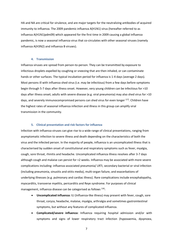HA and NA are critical for virulence, and are major targets for the neutralizing antibodies of acquired immunity to influenza. The 2009 pandemic influenza A(H1N1) virus (hereafter referred to as influenza A(H1N1)pdm09) which appeared for the first time in 2009 causing a global influenza pandemic, is now a seasonal influenza virus that co-circulates with other seasonal viruses (namely influenza A(H3N2) and influenza B viruses).

#### **4. Transmission**

Influenza viruses are spread from person-to-person. They can be transmitted by exposure to infectious droplets expelled by coughing or sneezing that are then inhaled, or can contaminate hands or other surfaces. The typical incubation period for influenza is 1-4 days (average 2 days). Most persons ill with influenza shed virus (i.e. may be infectious) from a few days before symptoms begin through 5-7 days after illness onset. However, very young children can be infectious for >10 days after illness onset; adults with severe disease (e.g. viral pneumonia) may also shed virus for >10 days, and severely immunocompromised persons can shed virus for even longer <sup>[17]</sup>. Children have the highest rates of seasonal influenza infection and illness in this group can amplify viral transmission in the community.

#### **5. Clinical presentation and risk factors for influenza**

Infection with influenza viruses can give rise to a wide range of clinical presentations, ranging from asymptomatic infection to severe illness and death depending on the characteristics of both the virus and the infected person. In the majority of people, influenza is an uncomplicated illness that is characterised by sudden onset of constitutional and respiratory symptoms such as fever, myalgia, cough, sore throat, rhinitis and headache. Uncomplicated influenza illness resolves after 3-7 days although cough and malaise can persist for >2 weeks. Influenza may be associated with more severe complications including: influenza-associated pneumonia/ LRTI, secondary bacterial or viral infection (including pneumonia, sinusitis and otitis media), multi-organ failure, and exacerbations of underlying illnesses (e.g. pulmonary and cardiac illness). Rare complications include encephalopathy, myocarditis, transverse myelitis, pericarditis and Reye syndrome. For purposes of clinical management, influenza disease can be categorised as follows [18]:

- **Uncomplicated influenza:** ILI (Influenza-like illness) may present with fever, cough, sore throat, coryza, headache, malaise, myalgia, arthralgia and sometimes gastrointestinal symptoms, but without any features of complicated influenza.
- **Complicated/severe influenza:** Influenza requiring hospital admission and/or with symptoms and signs of lower respiratory tract infection (hypoxaemia, dyspnoea,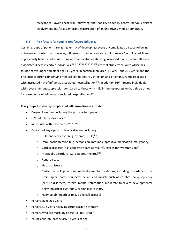taccypnoea, lower chest wall indrawing and inability to feed), central nervous system involvement and/or a significant exacerbation of an underlying medical condition.

#### **5.1 Risk factors for complicated/severe influenza**

Certain groups of patients are at higher risk of developing severe or complicated disease following influenza virus infection. However, influenza virus infection can result in severe/complicated illness in previously healthy individuals. Similar to other studies showing increased risk of severe influenzaassociated illness in certain individuals,  $[1, 2, 6, 10, 11, 15, 16, 19, 20]$  a recent study from South Africa has found that younger and older age (< 5 years, in particular children < 1 year, and  $\geq 65$  years) and the presence of chronic underlying medical conditions, HIV infection and pregnancy were associated with increased risk of influenza associated-hospitalization<sup>[14]</sup>. In addition HIV-infected individuals with severe immunosuppression compared to those with mild immunosuppression had three times increased odds of influenza associated hospitalization [14].

#### **Risk groups for severe/complicated influenza disease include:**

- Pregnant women (including the post-partum period)
- $\bullet$  HIV-infected individuals<sup>[14, 21]</sup>
- $\bullet$  Individuals with tuberculosis<sup>[15, 16, 22]</sup>
- Persons of any age with chronic disease, including:
	- o Pulmonary diseases (e.g. asthma, COPD)<sup>[23]</sup>
	- $\circ$  Immunosuppression (e.g. persons on immunosuppressive medication, malignancy)
	- $\circ$  Cardiac diseases (e.g. congestive cardiac failure), except for hypertension<sup>[23]</sup>
	- o Metabolic disorders (e.g. diabetes mellitus)<sup>[24]</sup>
	- o Renal disease
	- o Hepatic disease
	- $\circ$  Certain neurologic and neurodevelopmental conditions, including: disorders of the brain, spinal cord, peripheral nerve, and muscle such as cerebral palsy, epilepsy (seizure disorders), stroke, mental retardation, moderate to severe developmental delay, muscular dystrophy, or spinal cord injury.
	- o Haemoglobinopathies (e.g. sickle cell disease)
- Persons aged ≥65 years
- Persons ≤18 years receiving chronic aspirin therapy
- Persons who are morbidly obese (i.e. BMI  $\geq 40$ )<sup>[25]</sup>
- Young children (particularly <2 years of age)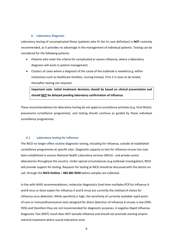### **6. Laboratory Diagnosis**

Laboratory testing of uncomplicated illness (patients who fit the ILI case definition) is **NOT** routinely recommended, as it provides no advantage in the management of individual patients. Testing can be considered for the following patients:

- Patients who meet the criteria for complicated or severe influenza, where a laboratory diagnosis will assist in patient management.
- Clusters of cases where a diagnosis of the cause of the outbreak is needed (e.g. within institutions such as healthcare facilities, nursing homes). First 2-3 cases to be tested, thereafter testing not required.

**Important note**: **Initial treatment decisions should be based on clinical presentation and should NOT be delayed pending laboratory confirmation of influenza.**

These recommendations for laboratory testing do not apply to surveillance activities (e.g. Viral Watch, pneumonia surveillance programme), and testing should continue as guided by those individual surveillance programmes.

## **6.1 Laboratory testing for influenza**

The NICD no longer offers routine diagnostic testing, including for influenza, outside of established surveillance programmes at specific sites. Diagnostic capacity to test for influenza viruses has now been established in various National Health Laboratory services (NHLS) - and private-sector laboratories throughout the country. Under special circumstances (e.g outbreak investigation), NICD will provide support for testing. Requests for testing at NICD should be discussed with the doctor on call, through the **NICD Hotline – 082 883 9920** before samples are collected.

In line with WHO recommendations, molecular diagnostics (real-time multiplex PCR for influenza A and B virus or Gene expert for influenza A and B virus) are currently the method of choice for influenza virus detection. While specificity is high, the sensitivity of currently available rapid-pointof-care or immunofluorescence tests designed for direct detection of influenza A viruses is low (59%- 93%) and therefore they are not recommended for diagnostic purposes. A negative Rapid Influenza Diagnostic Test (RIDT) result does NOT exclude influenza and should not preclude starting empiric antiviral treatment where sound indications exist.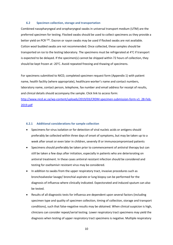#### **6.2 Specimen collection, storage and transportation**

Combined nasopharyngeal and oropharyngeal swabs in universal transport medium (UTM) are the preferred specimen for testing. Flocked swabs should be used to collect specimens as they provide a better yield on PCR<sup>[26]</sup>. Dacron or rayon swabs may be used if flocked swabs are not available. Cotton wool budded swabs are not recommended. Once collected, these samples should be transported on ice to the testing laboratory. The specimens must be refrigerated at 4°C if transport is expected to be delayed. If the specimen(s) cannot be shipped within 72 hours of collection, they should be kept frozen at -20°C. Avoid repeated freezing and thawing of specimens.

For specimens submitted to NICD, completed specimen request form (Appendix 1) with patient name, health facility (where appropriate), healthcare worker's name and contact numbers, laboratory name, contact person, telephone, fax number and email address for receipt of results, and clinical details should accompany the sample. Click link to access form: [http://www.nicd.ac.za/wp-content/uploads/2019/03/CRDM-specimen-submission-form-v1\\_28-Feb-](http://www.nicd.ac.za/wp-content/uploads/2019/03/CRDM-specimen-submission-form-v1_28-Feb-2019.pdf)

[2019.pdf](http://www.nicd.ac.za/wp-content/uploads/2019/03/CRDM-specimen-submission-form-v1_28-Feb-2019.pdf)

#### **6.2.1 Additional considerations for sample collection**

- Specimens for virus isolation or for detection of viral nucleic acids or antigens should preferably be collected within three days of onset of symptoms, but may be taken up to a week after onset or even later in children, severely ill or immunocompromised patients
- Specimens should preferably be taken prior to commencement of antiviral therapy but can still be taken a few days after initiation, especially in patients who are deteriorating on antiviral treatment. In these cases antiviral resistant infection should be considered and testing for oseltamivir resistant virus may be considered.
- In addition to swabs from the upper respiratory tract, invasive procedures such as bronchoalveolar lavage/ bronchial aspirate or lung biopsy can be performed for the diagnosis of influenza where clinically indicated. Expectorated and induced sputum can also be tested.
- Results of all diagnostic tests for influenza are dependent upon several factors (including specimen type and quality of specimen collection, timing of collection, storage and transport conditions), such that false-negative results may be obtained. When clinical suspicion is high, clinicians can consider repeat/serial testing. Lower respiratory tract specimens may yield the diagnosis when testing of upper respiratory tract specimens is negative. Multiple respiratory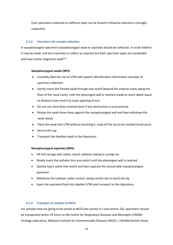tract specimens collected on different days can be tested if influenza infection is strongly suspected.

## **6.2.2 Procedure for sample collection**

A nasopharyngeal specimen (nasopharyngeal swab or aspirate) should be collected. In small children it may be easier and less traumatic to collect an aspirate but both specimen types are acceptable and have similar diagnostic yield<sup>[27]</sup>.

## **Nasopharyngeal swabs (NPS)**

- Carefully label the vial of UTM with patient identification information and date of specimen collection
- Gently insert the flocked swab through one nostril beyond the anterior nares along the floor of the nasal cavity, until the pharyngeal wall is reached (swab to reach depth equal to distance from nostril to outer opening of ear)
- Do not use more than minimal force if any obstruction is encountered
- Rotate the swab three times against the nasopharyngeal wall and then withdraw the swab slowly
- Place the swab into UTM without touching it, snap off the tip at the marked break point
- Secure the cap
- Transport the labelled swab to the laboratory

## **Nasopharyngeal aspirates (NPA)**

- Fill 5ml syringe with saline; attach catheter tubing to syringe tip
- Slowly insert the catheter into one nostril until the pharyngeal wall is reached
- Quickly inject saline into nostril and then aspirate the recoverable nasopharyngeal specimen
- Withdraw the catheter under suction, being careful not to touch the tip
- Inject the aspirated fluid into labelled UTM and transport to the laboratory

## **6.2.3 Transport of samples to NICD**

For samples that are going to be tested at NICD (see section 6.1 and section 10), specimens should be transported within 24 hours to the Centre for Respiratory Diseases and Meningitis (CRDM) Virology Laboratory, National Institute for Communicable Diseases (NICD), 1 Modderfontein Road,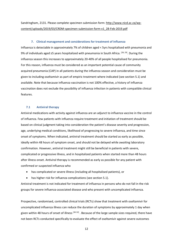Sandringham, 2131. Please complete specimen submission form: [http://www.nicd.ac.za/wp](http://www.nicd.ac.za/wp-content/uploads/2019/03/CRDM-specimen-submission-form-v1_28-Feb-2019.pdf)[content/uploads/2019/03/CRDM-specimen-submission-form-v1\\_28-Feb-2019.pdf](http://www.nicd.ac.za/wp-content/uploads/2019/03/CRDM-specimen-submission-form-v1_28-Feb-2019.pdf)

#### **7. Clinical management and considerations for treatment of influenza**

Influenza is detectable in approximately 7% of children aged < 5yrs hospitalised with pneumonia and 9% of individuals aged ≥5 years hospitalized with pneumonia in South Africa. <sup>[28, 29]</sup>. During the influenza season this increases to approximately 20-40% of all people hospitalised for pneumonia. For this reason, influenza must be considered as an important potential cause of community acquired pneumonia (CAP) in all patients during the influenza season and consideration must be given to including oseltamivir as part of empiric treatment where indicated (see section 5.1) and available. Note that because influenza vaccination is not 100% effective, a history of influenza vaccination does not exclude the possibility of influenza infection in patients with compatible clinical features.

#### **7.1 Antiviral therapy**

Antiviral medications with activity against influenza are an adjunct to influenza vaccine in the control of influenza. Few patients with influenza require treatment and initiation of treatment should be based on clinical judgment taking into consideration the patient's disease severity and progression, age, underlying medical conditions, likelihood of progressing to severe influenza, and time since onset of symptoms. When indicated, antiviral treatment should be started as early as possible, ideally within 48 hours of symptom onset, and should not be delayed while awaiting laboratory confirmation. However, antiviral treatment might still be beneficial in patients with severe, complicated or progressive illness, and in hospitalized patients when started more than 48 hours after illness onset. Antiviral therapy is recommended as early as possible for any patient with confirmed or suspected influenza who

- has complicated or severe illness (including all hospitalised patients), or
- has higher risk for influenza complications (see section 5.1).

Antiviral treatment is not indicated for treatment of influenza in persons who do not fall in the risk groups for severe influenza-associated disease and who present with uncomplicated influenza.

Prospective, randomised, controlled clinical trials (RCTs) show that treatment with oseltamivir for uncomplicated influenza illness can reduce the duration of symptoms by approximately 1 day when given within 48 hours of onset of illness  $[30-32]$ . Because of the large sample sizes required, there have not been RCTs conducted specifically to evaluate the effect of oseltamivir against severe outcomes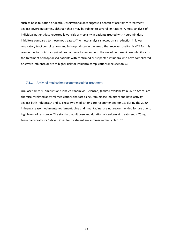such as hospitalisation or death. Observational data suggest a benefit of oseltamivir treatment against severe outcomes, although these may be subject to several limitations. A meta-analysis of individual patient data reported lower risk of mortality in patients treated with neuraminidase inhibitors compared to those not treated.<sup>[33]</sup> A meta-analysis showed a risk reduction in lower respiratory tract complications and in hospital stay in the group that received oseltamivir<sup>[34]</sup>. For this reason the South African guidelines continue to recommend the use of neuraminidase inhibitors for the treatment of hospitalised patients with confirmed or suspected influenza who have complicated or severe influenza or are at higher risk for influenza complications (see section 5.1).

#### **7.1.1 Antiviral medication recommended for treatment**

Oral oseltamivir (Tamiflu®) and inhaled zanamivir (Relenza®) (limited availability in South Africa) are chemically related antiviral medications that act as neuraminidase inhibitors and have activity against both influenza A and B. These two medications are recommended for use during the 2020 influenza season. Adamantanes (amantadine and rimantadine) are not recommended for use due to high levels of resistance. The standard adult dose and duration of oseltamivir treatment is 75mg twice daily orally for 5 days. Doses for treatment are summarised in Table 1<sup>[35]</sup>.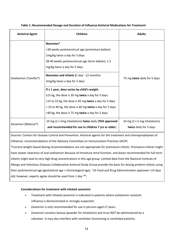| <b>Antiviral Agent</b> | Children                                                                                                                                                                                                                                                                                                                                                                                                                                                                                                                                                                             | <b>Adults</b>                                          |
|------------------------|--------------------------------------------------------------------------------------------------------------------------------------------------------------------------------------------------------------------------------------------------------------------------------------------------------------------------------------------------------------------------------------------------------------------------------------------------------------------------------------------------------------------------------------------------------------------------------------|--------------------------------------------------------|
| Oseltamivir (Tamiflu®) | Neonates*<br><38 weeks postmenstrual age (premature babies):<br>1mg/kg twice a day for 5 days<br>38-40 weeks postmenstrual age (term babies): 1.5<br>mg/kg twice a day for 5 days<br><b>Neonates and infants (1 day</b> <sup><math>+</math></sup> -12 months)<br>3mg/kg twice a day for 5 days<br>If $\geq 1$ year, dose varies by child's weight<br>$\leq$ 15 kg, the dose is 30 mg twice a day for 5 days<br>>15 to 23 kg, the dose is 45 mg twice a day for 5 days<br>> 23 to 40 kg, the dose is 60 mg twice a day for 5 days<br>>40 kg, the dose is 75 mg twice a day for 5 days | 75 mg twice daily for 5 days                           |
| Zanamivir (Relenza®)   | 10 mg (2 x 5mg inhalations) twice daily (FDA approved<br>and recommended for use in children 7 yrs or older)                                                                                                                                                                                                                                                                                                                                                                                                                                                                         | 10 mg (2 x 5-mg inhalations)<br>twice daily for 5 days |

## **Table 1: Recommended Dosage and Duration of Influenza Antiviral Medications for Treatment**

Sources: Centers for Disease Control and Prevention. Antiviral agents for the treatment and chemoprophylaxis of influenza: recommendations of the Advisory Committee on Immunization Practices (ACIP).

\*Current weight-based dosing recommendations are not appropriate for premature infants. Premature infants might have slower clearance of oral oseltamivir because of immature renal function, and doses recommended for full-term infants might lead to very high drug concentrations in this age group. Limited data from the National Institute of Allergy and Infectious Diseases Collaborative Antiviral Study Group provide the basis for dosing preterm infants using their postmenstrual age (gestational age + chronological age). †US Food and Drug Administration approves >14 days old; however, experts agree should be used from 1 day <sup>[36]</sup>.

## **Considerations for treatment with inhaled zanamivir**

- Treatment with inhaled zanamivir is indicated in patients where oseltamivir-resistant influenza is demonstrated or strongly suspected.
- Zanamivir is only recommended for use in persons aged ≥7 years.
- Zanamivir contains lactose (powder for inhalation) and must NOT be administered by a nebuliser. It may also interfere with ventilator functioning in ventilated patients.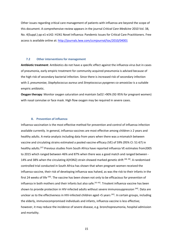Other issues regarding critical care management of patients with influenza are beyond the scope of this document. A comprehensive review appears in the journal *Critical Care Medicine* 2010 Vol. 38, No. 4(Suppl.) pp e1-e142: H1N1 Novel Influenza: Pandemic Issues for Critical Care Practitioners. Free access is available online at:<http://journals.lww.com/ccmjournal/toc/2010/04001>

#### **7.2 Other interventions for management**

**Antibiotic treatment**: Antibiotics do not have a specific effect against the influenza virus but in cases of pneumonia, early empiric treatment for community acquired pneumonia is advised because of the high risk of secondary bacterial infection. Since there is increased risk of secondary infection with *S. pneumoniae, Staphylococcus aureus* and *Streptococcus pyogenes* co-amoxiclav is a suitable empiric antibiotic.

**Oxygen therapy**: Monitor oxygen saturation and maintain SaO2 >90% (92-95% for pregnant women) with nasal cannulae or face mask. High flow oxygen may be required in severe cases.

#### **8. Prevention of influenza**

Influenza vaccination is the most effective method for prevention and control of influenza infection available currently. In general, influenza vaccines are most effective among children ≥ 2 years and healthy adults. A meta-analysis including data from years when there was a mismatch between vaccine and circulating strains estimated a pooled vaccine efficacy (VE) of 59% (95% CI: 51-67) in healthy adults.<sup>[37]</sup> Previous studies from South Africa have reported influenza VE estimates from2005 to 2015 which ranged between 46% and 87% when there was a good match and ranged between - 14% and 38% when the circulating A(H3N2) strain showed marked genetic drift [38, 39]. A randomised controlled trial conducted in South Africa has shown that when pregnant women received the influenza vaccine, their risk of developing influenza was halved, as was the risk to their infants in the first 24 weeks of life [40]. The vaccine has been shown not only to be efficacious for prevention of influenza in both mothers and their infants but also safe.<sup>[41-43]</sup>. Trivalent influenza vaccine has been shown to provide protection in HIV-infected adults without severe immunosuppression [44]. Data are unclear as to the effectiveness in HIV-infected children aged <5 years [45]. In certain groups, including the elderly, immunocompromised individuals and infants, influenza vaccine is less effective; however, it may reduce the incidence of severe disease, e.g. bronchopneumonia, hospital admission and mortality.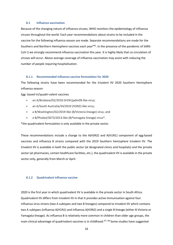#### **8.1 Influenza vaccination**

Because of the changing nature of influenza viruses, WHO monitors the epidemiology of influenza viruses throughout the world. Each year recommendations about strains to be included in the vaccine for the following influenza season are made. Separate recommendations are made for the Southern and Northern Hemisphere vaccines each year<sup>[46]</sup>. In the presence of the pandemic of SARS-CoV-2 we strongly recommend influenza vaccination this year. It is highly likely that co-circulation of viruses will occur. Above average coverage of influenza vaccination may assist with reducing the number of people requiring hospitalisation.

#### **8.1.1 Recommended influenza vaccine formulation for 2020**

The following strains have been recommended for the trivalent IIV 2020 Southern Hemisphere influenza season:

Egg- based tri/quadri-valent vaccines

- an A/Brisbane/02/2018 (H1N1)pdm09-like virus;
- an A/South Australia/34/2019 (H3N2)-like virus;
- a B/Washington/02/2019-like (B/Victoria lineage) virus; and
- a B/Phuket/3073/2013-like (B/Yamagata lineage) virus\*.

\*the quadrivalent formulation is only available in the private sector.

These recommendations include a change to the A(H3N2) and A(H1N1) component of egg-based vaccines and influenza B strains compared with the 2019 Southern hemisphere trivalent IIV. The trivalent IIV is available in both the public sector (at designated clinics and hospitals) and the private sector (at pharmacies, certain healthcare facilities, etc.), the quadrivalent IIV is available in the private sector only, generally from March or April.

#### **8.1.2 Quadrivalent influenza vaccine**

2020 is the first year in which quadrivalent IIV is available in the private sector in South Africa. Quadrivalent IIV differs from trivalent IIV in that it provides active immunisation against four influenza virus strains (two A subtypes and two B lineages) compared to trivalent IIV which contains two A subtypes (influenza A(H1N1) and influenza A(H3N2) and a single B lineage (either B Victoria or Yamagata lineage). As influenza B is relatively more common in children than older age groups, the main clinical advantage of quadrivalent vaccines is in childhood.<sup>[47, 48]</sup> Some studies have suggested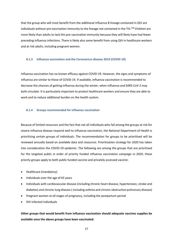that the group who will most benefit from the additional influenza B lineage contained in QIV are individuals without pre-vaccination immunity to the lineage not contained in the TIV.<sup>[49]</sup> Children are more likely than adults to lack this pre-vaccination immunity because they will likely have had fewer preceding influenza infections. There is likely also some benefit from using QIV in healthcare workers and at risk adults, including pregnant women.

#### **8.1.3 Influenza vaccination and the Coronavirus disease 2019 (COVID-19)**

Influenza vaccination has no known efficacy against COVID-19. However, the signs and symptoms of influenza are similar to those of COVID-19. If available, influenza vaccination is recommended to decrease the chances of getting influenza during the winter, when influenza and SARS-CoV-2 may both circulate. It is particularly important to protect healthcare workers and ensure they are able to work and to reduce additional burden on the health system.

#### **8.1.4 Groups recommended for influenza vaccination**

Because of limited resources and the fact that not all individuals who fall among the groups at risk for severe influenza disease respond well to influenza vaccination, the National Department of Health is prioritizing certain groups of individuals. The recommendation for groups to be prioritised will be reviewed annually based on available data and resources. Prioritisation strategy for 2020 has taken into consideration the COVID-19 epidemic. The following are among the groups that are prioritised for the targeted public in order of priority funded influenza vaccination campaign in 2020, these priority groups apply to both public funded vaccine and privately accessed vaccine:

- Healthcare (mandatory)
- Individuals over the age of 65 years
- Individuals with cardiovascular disease (including chronic heart disease, hypertension, stroke and diabetes) and chronic lung disease ( including asthma and chronic obstructive pulmonary disease)
- Pregnant women at all stages of pregnancy, including the postpartum period
- HIV-infected individuals

**Other groups that would benefit from influenza vaccination should adequate vaccines supplies be available once the above groups have been vaccinated:**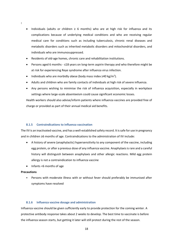- Individuals (adults or children ≥ 6 months) who are at high risk for influenza and its complications because of underlying medical conditions and who are receiving regular medical care for conditions such as including tuberculosis, chronic renal diseases and metabolic disorders such as inherited metabolic disorders and mitochondrial disorders, and individuals who are immunosuppressed.
- Residents of old-age homes, chronic care and rehabilitation institutions.
- Persons aged 6 months ≤18 years on long-term aspirin therapy and who therefore might be at risk for experiencing Reye syndrome after influenza virus infection.
- Individuals who are morbidly obese (body mass index  $\geq 40$  kg/m<sup>2</sup>).
- Adults and children who are family contacts of individuals at high risk of severe influenza.
- Any persons wishing to minimise the risk of influenza acquisition, especially in workplace settings where large-scale absenteeism could cause significant economic losses.

Health workers should also advise/inform patients where influenza vaccines are provided free of charge or provided as part of their annual medical aid benefits.

## **8.1.5 Contraindications to influenza vaccination**

The IIV is an inactivated vaccine, and has a well-established safety record. It is safe for use in pregnancy and in children ≥6 months of age. Contraindications to the administration of IIV include:

- A history of severe (anaphylactic) hypersensitivity to any component of the vaccine, including egg protein, or after a previous dose of any influenza vaccine. Anaphylaxis is rare and a careful history will distinguish between anaphylaxis and other allergic reactions. Mild egg protein allergy is not a contraindication to influenza vaccine
- Infants <6 months of age

## **Precautions**

**:**

• Persons with moderate illness with or without fever should preferably be immunised after symptoms have resolved

## **8.1.6 Influenza vaccine dosage and administration**

Influenza vaccine should be given sufficiently early to provide protection for the coming winter. A protective antibody response takes about 2 weeks to develop. The best time to vaccinate is before the influenza season starts, but getting it later will still protect during the rest of the season.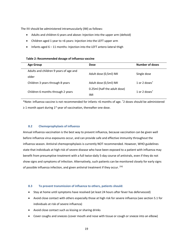The IIV should be administered intramuscularly (IM) as follows:

- Adults and children 6 years and above: Injection into the upper arm (deltoid)
- Children aged 1 year to <6 years: Injection into the LEFT upper arm
- Infants aged  $6 11$  months: Injection into the LEFT antero-lateral thigh

#### **Table 2: Recommended dosage of influenza vaccine**

| <b>Age Group</b>                       | <b>Dose</b>                  | Number of doses                        |
|----------------------------------------|------------------------------|----------------------------------------|
| Adults and children 9 years of age and | Adult dose (0,5ml) IMI       | Single dose                            |
| older                                  |                              |                                        |
| Children 3 years through 8 years       | Adult dose (0,5ml) IMI       | 1 or 2 doses <sup><math>†</math></sup> |
|                                        | 0.25ml (half the adult dose) |                                        |
| Children 6 months through 2 years      | IMI                          | 1 or 2 doses $^{\mathsf{T}}$           |

\*Note: influenza vaccine is not recommended for infants <6 months of age. †2 doses should be administered  $\geq$  1 month apart during 1<sup>st</sup> year of vaccination, thereafter one dose.

#### **8.2 Chemoprophylaxis of influenza**

Annual influenza vaccination is the best way to prevent influenza, because vaccination can be given well before influenza virus exposures occur, and can provide safe and effective immunity throughout the influenza season. Antiviral chemoprophylaxis is currently NOT recommended. However, WHO guidelines state that individuals at high risk of severe disease who have been exposed to a patient with influenza may benefit from presumptive treatment with a full twice-daily 5-day course of antivirals, even if they do not show signs and symptoms of infection. Alternatively, such patients can be monitored closely for early signs of possible influenza infection, and given antiviral treatment if they occur. [50]

#### **8.3 To prevent transmission of influenza to others, patients should:**

- Stay at home until symptoms have resolved (at least 24 hours after fever has defervesced)
- Avoid close contact with others especially those at high risk for severe influenza (see section 5.1 for individuals at risk of severe influenza)
- Avoid close contact such as kissing or sharing drinks
- Cover coughs and sneezes (cover mouth and nose with tissue or cough or sneeze into an elbow)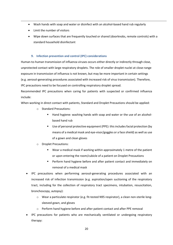- Wash hands with soap and water or disinfect with an alcohol-based hand rub regularly
- Limit the number of visitors
- Wipe down surfaces that are frequently touched or shared (doorknobs, remote controls) with a standard household disinfectant

## **9. Infection prevention and control (IPC) considerations**

Human-to-human transmission of influenza viruses occurs either directly or indirectly through close, unprotected contact with large respiratory droplets. The role of smaller droplet nuclei at close-range exposure in transmission of influenza is not known, but may be more important in certain settings (e.g. aerosol-generating procedures associated with increased risk of virus transmission). Therefore, IPC precautions need to be focused on controlling respiratory droplet spread.

Recommended IPC precautions when caring for patients with suspected or confirmed influenza include:

When working in direct contact with patients, Standard and Droplet Precautions should be applied:

- o Standard Precautions:
	- Hand hygiene: washing hands with soap and water or the use of an alcoholbased hand rub
	- Use of personal protective equipment (PPE): this includes facial protection (by means of a medical mask and eye-visor/goggles or a face shield) as well as use of a gown and clean gloves
- o Droplet Precautions:
	- Wear a medical mask if working within approximately 1 metre of the patient or upon entering the room/cubicle of a patient on Droplet Precautions
	- **Perform hand hygiene before and after patient contact and immediately on** removal of a medical mask
- IPC precautions when performing aerosol-generating procedures associated with an increased risk of infection transmission (e.g. aspiration/open suctioning of the respiratory tract, including for the collection of respiratory tract specimens, intubation, resuscitation, bronchoscopy, autopsy):
	- o Wear a particulate respirator (e.g. fit-tested N95 respirator), a clean non-sterile longsleeved gown, and gloves
	- o Perform hand hygiene before and after patient contact and after PPE removal
- IPC precautions for patients who are mechanically ventilated or undergoing respiratory therapy: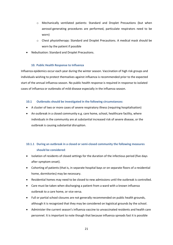- o Mechanically ventilated patients: Standard and Droplet Precautions (but when aerosol-generating procedures are performed, particulate respirators need to be worn)
- o Chest physiotherapy: Standard and Droplet Precautions. A medical mask should be worn by the patient if possible
- Nebulisation: Standard and Droplet Precautions.

## **10. Public Health Response to Influenza**

Influenza epidemics occur each year during the winter season. Vaccination of high risk groups and individuals wishing to protect themselves against influenza is recommended prior to the expected start of the annual influenza season. No public health response is required in response to isolated cases of influenza or outbreaks of mild disease especially in the influenza season.

## **10.1 Outbreaks should be investigated in the following circumstances:**

- A cluster of two or more cases of severe respiratory illness (requiring hospitalisation)
- An outbreak in a closed community e.g. care home, school, healthcare facility, where individuals in the community are at substantial increased risk of severe disease, or the outbreak is causing substantial disruption.

## **10.1.1 During an outbreak in a closed or semi-closed community the following measures should be considered**:

- Isolation of residents of closed settings for the duration of the infectious period (five days after symptom onset).
- Cohorting of patients (that is, in separate hospital bays or on separate floors of a residential home, dormitories) may be necessary.
- Residential homes may need to be closed to new admissions until the outbreak is controlled.
- Care must be taken when discharging a patient from a ward with a known influenza outbreak to a care home, or vice versa.
- Full or partial school closures are not generally recommended on public health grounds, although it is recognized that they may be considered on logistical grounds by the school.
- Administer the current season's influenza vaccine to unvaccinated residents and health care personnel. It is important to note though that because influenza spreads fast it is possible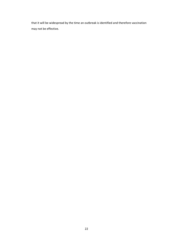that it will be widespread by the time an outbreak is identified and therefore vaccination may not be effective.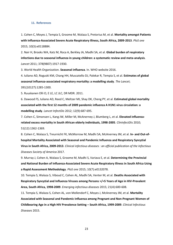#### **11. References**

1. Cohen C, Moyes J, Tempia S, Groome M, Walaza S, Pretorius M, et al. **Mortality amongst Patients with Influenza-Associated Severe Acute Respiratory Illness, South Africa, 2009-2013**. *PloS one*  2015; 10(3):e0118884.

2. Nair H, Brooks WA, Katz M, Roca A, Berkley JA, Madhi SA, et al. **Global burden of respiratory infections due to seasonal influenza in young children: a systematic review and meta-analysis**. *Lancet* 2011; 378(9807):1917-1930.

3. World Health Organization. **Seasonal influenza**. In. WHO website 2016.

4. Iuliano AD, Roguski KM, Chang HH, Muscatello DJ, Palekar R, Tempia S, et al. **Estimates of global seasonal influenza-associated respiratory mortality: a modelling study**. *The Lancet*; 391(10127):1285-1300.

5. Ruuskanen Olli O, E LE, LC JLC, DR MDR. 2011.

6. Dawood FS, Iuliano AD, Reed C, Meltzer MI, Shay DK, Cheng PY, et al. **Estimated global mortality associated with the first 12 months of 2009 pandemic influenza A H1N1 virus circulation: a modelling study**. *Lancet InfectDis* 2012; 12(9):687-695.

7. Cohen C, Simonsen L, Kang JW, Miller M, McAnerney J, Blumberg L, et al. **Elevated influenzarelated excess mortality in South African elderly individuals, 1998-2005**. *ClinInfectDis* 2010; 51(12):1362-1369.

8. Cohen C, Walaza S, Treurnicht FK, McMorrow M, Madhi SA, McAnerney JM, et al. **In- and Out-ofhospital Mortality Associated with Seasonal and Pandemic Influenza and Respiratory Syncytial Virus in South Africa, 2009-2013**. *Clinical infectious diseases : an official publication of the Infectious Diseases Society of America* 2017.

9. Murray J, Cohen A, Walaza S, Groome M, Madhi S, Variava E, et al. **Determining the Provincial and National Burden of Influenza-Associated Severe Acute Respiratory Illness in South Africa Using a Rapid Assessment Methodology**. *PloS one* 2015; 10(7):e0132078.

10. Tempia S, Walaza S, Viboud C, Cohen AL, Madhi SA, Venter M, et al. **Deaths Associated with Respiratory Syncytial and Influenza Viruses among Persons >/=5 Years of Age in HIV-Prevalent Area, South Africa, 1998-2009**. *Emerging infectious diseases* 2015; 21(4):600-608.

11. Tempia S, Walaza S, Cohen AL, von Mollendorf C, Moyes J, McAnerney JM, et al. **Mortality Associated with Seasonal and Pandemic Influenza among Pregnant and Non-Pregnant Women of Childbearing Age in a High HIV Prevalence Setting – South Africa, 1999-2009**. *Clinical Infectious Diseases* 2015.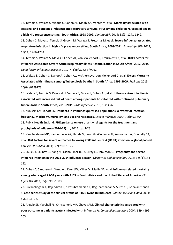12. Tempia S, Walaza S, Viboud C, Cohen AL, Madhi SA, Venter M, et al. **Mortality associated with seasonal and pandemic influenza and respiratory syncytial virus among children <5 years of age in a high HIV prevalence setting--South Africa, 1998-2009**. *ClinInfectDis* 2014; 58(9):1241-1249.

13. Cohen C, Moyes J, Tempia S, Groom M, Walaza S, Pretorius M, et al. **Severe influenza-associated respiratory infection in high HIV prevalence setting, South Africa, 2009-2011**. *EmergInfectDis* 2013; 19(11):1766-1774.

14. Tempia S, Walaza S, Moyes J, Cohen AL, von Mollendorf C, Treurnicht FK, et al. **Risk Factors for Influenza-Associated Severe Acute Respiratory Illness Hospitalization in South Africa, 2012–2015**. *Open forum infectious diseases* 2017; 4(1):ofw262-ofw262.

15. Walaza S, Cohen C, Nanoo A, Cohen AL, McAnerney J, von Mollendorf C, et al. **Excess Mortality Associated with Influenza among Tuberculosis Deaths in South Africa, 1999-2009**. *PloS one* 2015; 10(6):e0129173.

16. Walaza S, Tempia S, Dawood H, Variava E, Moyes J, Cohen AL, et al. **Influenza virus infection is associated with increased risk of death amongst patients hospitalized with confirmed pulmonary tuberculosis in South Africa, 2010-2011**. *BMC Infect Dis* 2015; 15(1):26.

17. Kunisaki KM, Janoff EN. **Influenza in immunosuppressed populations: a review of infection frequency, morbidity, mortality, and vaccine responses**. *Lancet InfectDis* 2009; 9(8):493-504.

18. Public Health England. **PHE guidance on use of antiviral agents for the treatment and prophylaxis of influenza (2014-15)**. In; 2015. pp. 1-23.

19. Van Kerkhove MD, Vandemaele KA, Shinde V, Jaramillo-Gutierrez G, Koukounari A, Donnelly CA, et al. **Risk factors for severe outcomes following 2009 influenza A (H1N1) infection: a global pooled analysis**. *PLoSMed* 2011; 8(7):e1001053.

20. Louie JK, Salibay CJ, Kang M, Glenn-Finer RE, Murray EL, Jamieson DJ. **Pregnancy and severe influenza infection in the 2013-2014 influenza season**. *Obstetrics and gynecology* 2015; 125(1):184- 192.

21. Cohen C, Simonsen L, Sample J, Kang JW, Miller M, Madhi SA, et al. **Influenza-related mortality among adults aged 25-54 years with AIDS in South Africa and the United States of America**. *Clin Infect Dis* 2012; 55(7):996-1003.

22. Puvanalingam A, Rajendiran C, Sivasubramanian K, Ragunanthanan S, Suresh S, Gopalakrishnan S. **Case series study of the clinical profile of H1N1 swine flu influenza**. *JAssocPhysicians India* 2011; 59:14-16, 18.

23. Angelo SJ, Marshall PS, Chrissoheris MP, Chaves AM. **Clinical characteristics associated with poor outcome in patients acutely infected with Influenza A**. *Connecticut medicine* 2004; 68(4):199- 205.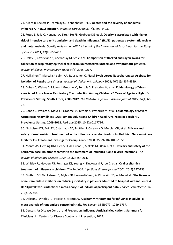24. Allard R, Leclerc P, Tremblay C, Tannenbaum TN. **Diabetes and the severity of pandemic influenza A (H1N1) infection**. *Diabetes care* 2010; 33(7):1491-1493.

25. Fezeu L, Julia C, Henegar A, Bitu J, Hu FB, Grobbee DE, et al. **Obesity is associated with higher risk of intensive care unit admission and death in influenza A (H1N1) patients: a systematic review and meta-analysis**. *Obesity reviews : an official journal of the International Association for the Study of Obesity* 2011; 12(8):653-659.

26. Daley P, Castriciano S, Chernesky M, Smieja M. **Comparison of flocked and rayon swabs for collection of respiratory epithelial cells from uninfected volunteers and symptomatic patients**. *Journal of clinical microbiology* 2006; 44(6):2265-2267.

27. Heikkinen T, Marttila J, Salmi AA, Ruuskanen O. **Nasal Swab versus Nasopharyngeal Aspirate for Isolation of Respiratory Viruses**. *Journal of clinical microbiology* 2002; 40(11):4337-4339.

28. Cohen C, Walaza S, Moyes J, Groome M, Tempia S, Pretorius M, et al. **Epidemiology of Viralassociated Acute Lower Respiratory Tract Infection Among Children <5 Years of Age in a High HIV Prevalence Setting, South Africa, 2009-2012**. *The Pediatric infectious disease journal* 2015; 34(1):66- 72.

29. Cohen C, Walaza S, Moyes J, Groome M, Tempia S, Pretorius M, et al. **Epidemiology of Severe Acute Respiratory Illness (SARI) among Adults and Children Aged >/=5 Years in a High HIV-Prevalence Setting, 2009-2012**. *PloS one* 2015; 10(2):e0117716.

30. Nicholson KG, Aoki FY, Osterhaus AD, Trottier S, Carewicz O, Mercier CH, et al. **Efficacy and safety of oseltamivir in treatment of acute influenza: a randomised controlled trial. Neuraminidase Inhibitor Flu Treatment Investigator Group**. *Lancet* 2000; 355(9218):1845-1850.

31. Monto AS, Fleming DM, Henry D, de Groot R, Makela M, Klein T, et al. **Efficacy and safety of the neuraminidase inhibitor zanamivirin the treatment of influenza A and B virus infections**. *The Journal of infectious diseases* 1999; 180(2):254-261.

32. Whitley RJ, Hayden FG, Reisinger KS, Young N, Dutkowski R, Ipe D, et al. **Oral oseltamivir treatment of influenza in children**. *The Pediatric infectious disease journal* 2001; 20(2):127-133. 33. Muthuri SG, Venkatesan S, Myles PR, Leonardi-Bee J, Al Khuwaitir TS, Al MA, et al. **Effectiveness of neuraminidase inhibitors in reducing mortality in patients admitted to hospital with influenza A H1N1pdm09 virus infection: a meta-analysis of individual participant data**. *Lancet RespirMed* 2014; 2(5):395-404.

34. Dobson J, Whitley RJ, Pocock S, Monto AS. **Oseltamivir treatment for influenza in adults: a meta-analysis of randomised controlled trials**. *The Lancet*; 385(9979):1729-1737.

35. Centers for Disease Control and Prevention. **Influenza Antiviral Medications: Summary for Clinicians**. In: Centers for Disease Control and Prevention; 2015.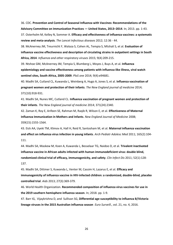36. CDC. **Prevention and Control of Seasonal Influenza with Vaccines: Recommendations of the Advisory Committee on Immunization Practices — United States, 2013–2014**. In; 2013. pp. 1-43. 37. Osterholm M, Kelley N, Sommer A. **Efficacy and effectiveness of influenza vaccines: a systematic** 

**review and meta-analysis**. *The Lancet Infectious diseases* 2012; 12:36 - 44.

38. McAnerney JM, Treurnicht F, Walaza S, Cohen AL, Tempia S, Mtshali S, et al. **Evaluation of influenza vaccine effectiveness and description of circulating strains in outpatient settings in South Africa, 2014**. *Influenza and other respiratory viruses* 2015; 9(4):209-215.

39. Ntshoe GM, McAnerney JM, Tempia S, Blumberg L, Moyes J, Buys A, et al. **Influenza epidemiology and vaccine effectiveness among patients with influenza-like illness, viral watch sentinel sites, South Africa, 2005-2009**. *PloS one* 2014; 9(4):e94681.

40. Madhi SA, Cutland CL, Kuwanda L, Weinberg A, Hugo A, Jones S, et al. **Influenza vaccination of pregnant women and protection of their infants**. *The New England journal of medicine* 2014; 371(10):918-931.

41. Madhi SA, Nunes MC, Cutland CL. **Influenza vaccination of pregnant women and protection of their infants**. *The New England journal of medicine* 2014; 371(24):2340.

42. Zaman K, Roy E, Arifeen SE, Rahman M, Raqib R, Wilson E, et al. **Effectiveness of Maternal Influenza Immunization in Mothers and Infants**. *New England Journal of Medicine* 2008; 359(15):1555-1564.

43. Eick AA, Uyeki TM, Klimov A, Hall H, Reid R, Santosham M, et al. **Maternal influenza vaccination and effect on influenza virus infection in young infants**. *Arch Pediatr Adolesc Med* 2011; 165(2):104- 111.

44. Madhi SA, Maskew M, Koen A, Kuwanda L, Besselaar TG, Naidoo D, et al. **Trivalent inactivated influenza vaccine in African adults infected with human immunodeficient virus: double blind, randomized clinical trial of efficacy, immunogenicity, and safety**. *Clin Infect Dis* 2011; 52(1):128- 137.

45. Madhi SA, Dittmer S, Kuwanda L, Venter M, Cassim H, Lazarus E, et al. **Efficacy and immunogenicity of influenza vaccine in HIV-infected children: a randomized, double-blind, placebo controlled trial**. *Aids* 2013; 27(3):369-379.

46. World Health Organization. **Recommended composition of influenza virus vaccines for use in the 2019 southern hemisphere influenza season**. In; 2018. pp. 1-9.

47. Barr IG, Vijaykrishna D, and Sullivan SG, **Differential age susceptibility to influenza B/Victoria lineage viruses in the 2015 Australian influenza season** *Euro Surveill*., vol. 21, no. 4, 2016.